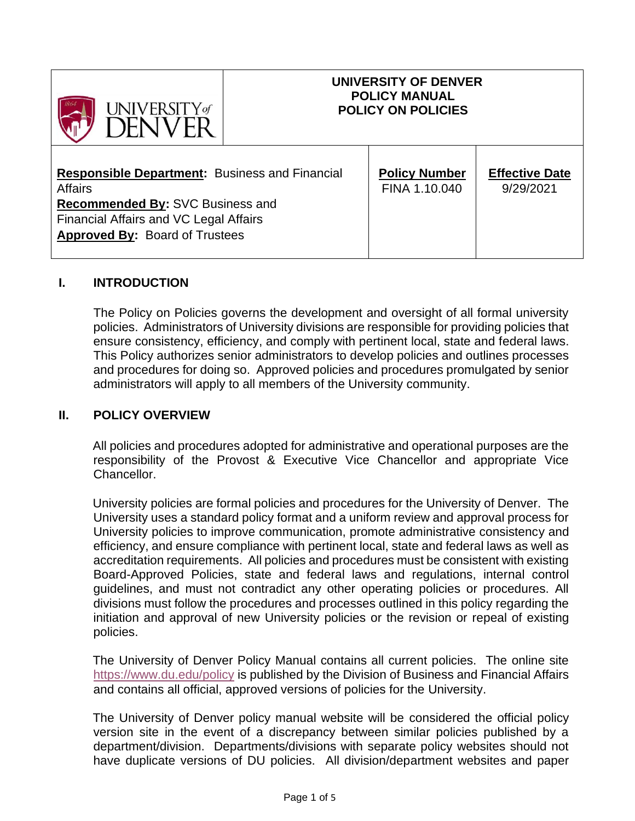| UNIVERSITY of                                                                                                                                                                                         | UNIVERSITY OF DENVER<br><b>POLICY MANUAL</b><br><b>POLICY ON POLICIES</b> |                                       |                                    |
|-------------------------------------------------------------------------------------------------------------------------------------------------------------------------------------------------------|---------------------------------------------------------------------------|---------------------------------------|------------------------------------|
| <b>Responsible Department: Business and Financial</b><br><b>Affairs</b><br>Recommended By: SVC Business and<br><b>Financial Affairs and VC Legal Affairs</b><br><b>Approved By: Board of Trustees</b> |                                                                           | <b>Policy Number</b><br>FINA 1.10.040 | <b>Effective Date</b><br>9/29/2021 |

#### **I. INTRODUCTION**

The Policy on Policies governs the development and oversight of all formal university policies. Administrators of University divisions are responsible for providing policies that ensure consistency, efficiency, and comply with pertinent local, state and federal laws. This Policy authorizes senior administrators to develop policies and outlines processes and procedures for doing so. Approved policies and procedures promulgated by senior administrators will apply to all members of the University community.

#### **II. POLICY OVERVIEW**

All policies and procedures adopted for administrative and operational purposes are the responsibility of the Provost & Executive Vice Chancellor and appropriate Vice Chancellor.

University policies are formal policies and procedures for the University of Denver. The University uses a standard policy format and a uniform review and approval process for University policies to improve communication, promote administrative consistency and efficiency, and ensure compliance with pertinent local, state and federal laws as well as accreditation requirements. All policies and procedures must be consistent with existing Board-Approved Policies, state and federal laws and regulations, internal control guidelines, and must not contradict any other operating policies or procedures. All divisions must follow the procedures and processes outlined in this policy regarding the initiation and approval of new University policies or the revision or repeal of existing policies.

The University of Denver Policy Manual contains all current policies. The online site <https://www.du.edu/policy> [is](https://www.du.edu/bfa/policies.html) published by the Division of Business and Financial Affairs and contains all official, approved versions of policies for the University.

The University of Denver policy manual website will be considered the official policy version site in the event of a discrepancy between similar policies published by a department/division. Departments/divisions with separate policy websites should not have duplicate versions of DU policies. All division/department websites and paper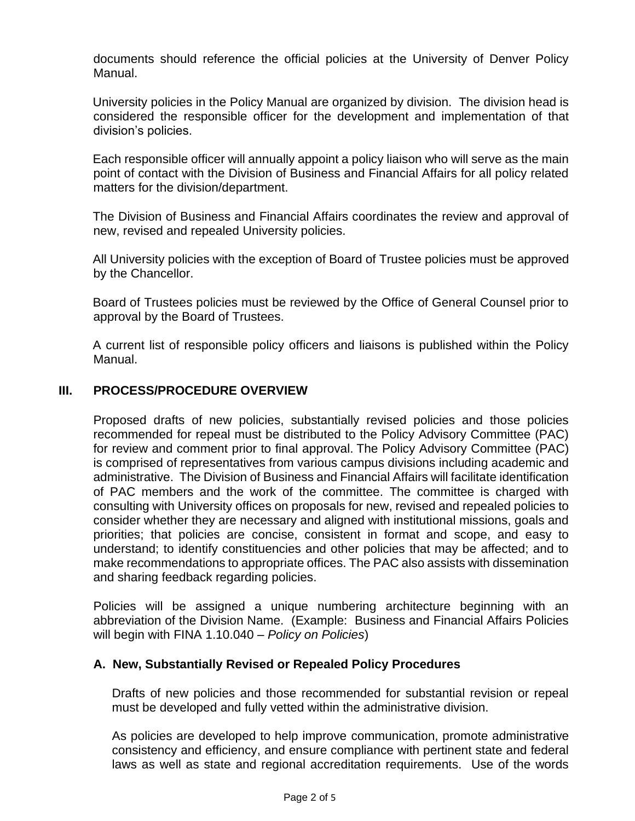documents should reference the official policies at the University of Denver Policy Manual.

University policies in the Policy Manual are organized by division. The division head is considered the responsible officer for the development and implementation of that division's policies.

Each responsible officer will annually appoint a policy liaison who will serve as the main point of contact with the Division of Business and Financial Affairs for all policy related matters for the division/department.

The Division of Business and Financial Affairs coordinates the review and approval of new, revised and repealed University policies.

All University policies with the exception of Board of Trustee policies must be approved by the Chancellor.

Board of Trustees policies must be reviewed by the Office of General Counsel prior to approval by the Board of Trustees.

A current list of responsible policy officers and liaisons is published within the Policy Manual.

# **III. PROCESS/PROCEDURE OVERVIEW**

Proposed drafts of new policies, substantially revised policies and those policies recommended for repeal must be distributed to the Policy Advisory Committee (PAC) for review and comment prior to final approval. The Policy Advisory Committee (PAC) is comprised of representatives from various campus divisions including academic and administrative. The Division of Business and Financial Affairs will facilitate identification of PAC members and the work of the committee. The committee is charged with consulting with University offices on proposals for new, revised and repealed policies to consider whether they are necessary and aligned with institutional missions, goals and priorities; that policies are concise, consistent in format and scope, and easy to understand; to identify constituencies and other policies that may be affected; and to make recommendations to appropriate offices. The PAC also assists with dissemination and sharing feedback regarding policies.

Policies will be assigned a unique numbering architecture beginning with an abbreviation of the Division Name. (Example: Business and Financial Affairs Policies will begin with FINA 1.10.040 – *Policy on Policies*)

#### **A. New, Substantially Revised or Repealed Policy Procedures**

Drafts of new policies and those recommended for substantial revision or repeal must be developed and fully vetted within the administrative division.

As policies are developed to help improve communication, promote administrative consistency and efficiency, and ensure compliance with pertinent state and federal laws as well as state and regional accreditation requirements. Use of the words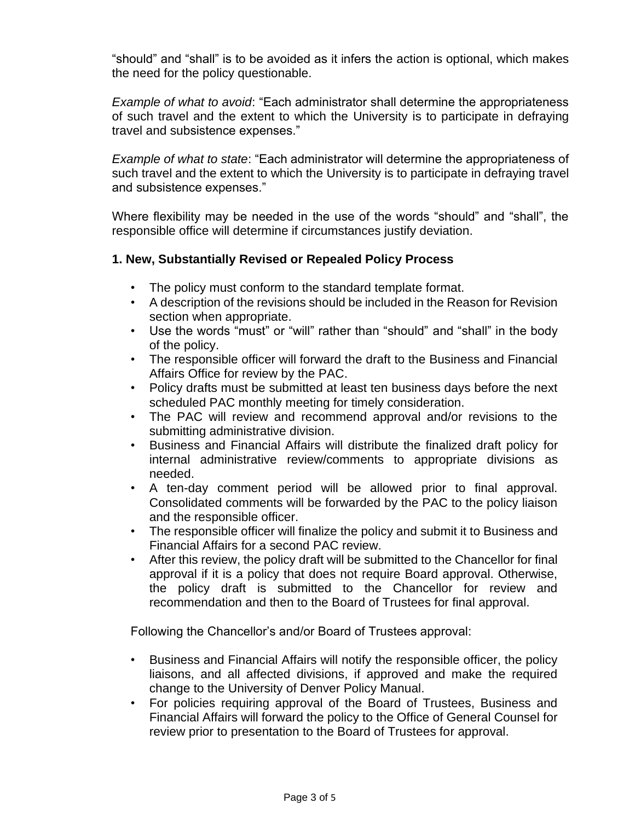"should" and "shall" is to be avoided as it infers the action is optional, which makes the need for the policy questionable.

*Example of what to avoid*: "Each administrator shall determine the appropriateness of such travel and the extent to which the University is to participate in defraying travel and subsistence expenses."

*Example of what to state*: "Each administrator will determine the appropriateness of such travel and the extent to which the University is to participate in defraying travel and subsistence expenses."

Where flexibility may be needed in the use of the words "should" and "shall", the responsible office will determine if circumstances justify deviation.

# **1. New, Substantially Revised or Repealed Policy Process**

- The policy must conform to the standard template format.
- A description of the revisions should be included in the Reason for Revision section when appropriate.
- Use the words "must" or "will" rather than "should" and "shall" in the body of the policy.
- The responsible officer will forward the draft to the Business and Financial Affairs Office for review by the PAC.
- Policy drafts must be submitted at least ten business days before the next scheduled PAC monthly meeting for timely consideration.
- The PAC will review and recommend approval and/or revisions to the submitting administrative division.
- Business and Financial Affairs will distribute the finalized draft policy for internal administrative review/comments to appropriate divisions as needed.
- A ten-day comment period will be allowed prior to final approval. Consolidated comments will be forwarded by the PAC to the policy liaison and the responsible officer.
- The responsible officer will finalize the policy and submit it to Business and Financial Affairs for a second PAC review.
- After this review, the policy draft will be submitted to the Chancellor for final approval if it is a policy that does not require Board approval. Otherwise, the policy draft is submitted to the Chancellor for review and recommendation and then to the Board of Trustees for final approval.

Following the Chancellor's and/or Board of Trustees approval:

- Business and Financial Affairs will notify the responsible officer, the policy liaisons, and all affected divisions, if approved and make the required change to the University of Denver Policy Manual.
- For policies requiring approval of the Board of Trustees, Business and Financial Affairs will forward the policy to the Office of General Counsel for review prior to presentation to the Board of Trustees for approval.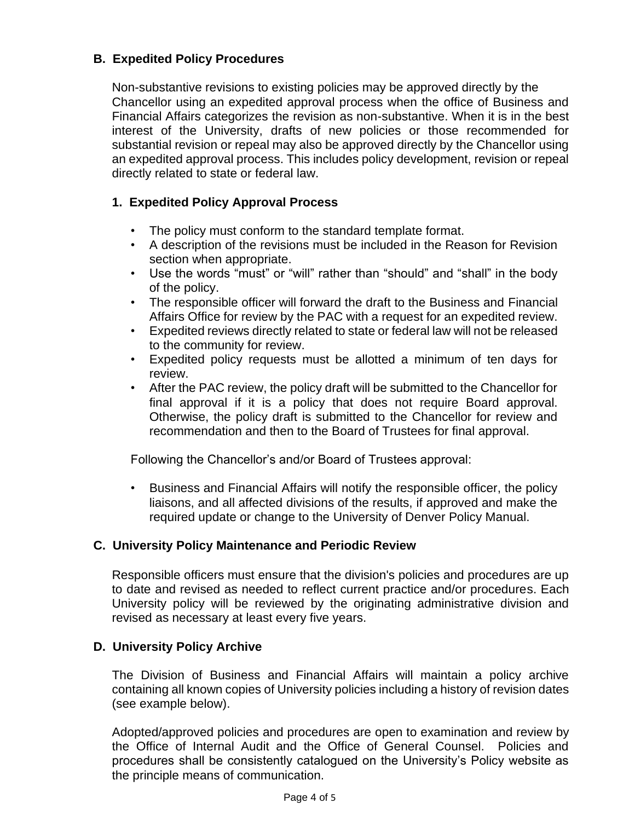# **B. Expedited Policy Procedures**

Non-substantive revisions to existing policies may be approved directly by the Chancellor using an expedited approval process when the office of Business and Financial Affairs categorizes the revision as non-substantive. When it is in the best interest of the University, drafts of new policies or those recommended for substantial revision or repeal may also be approved directly by the Chancellor using an expedited approval process. This includes policy development, revision or repeal directly related to state or federal law.

# **1. Expedited Policy Approval Process**

- The policy must conform to the standard template format.
- A description of the revisions must be included in the Reason for Revision section when appropriate.
- Use the words "must" or "will" rather than "should" and "shall" in the body of the policy.
- The responsible officer will forward the draft to the Business and Financial Affairs Office for review by the PAC with a request for an expedited review.
- Expedited reviews directly related to state or federal law will not be released to the community for review.
- Expedited policy requests must be allotted a minimum of ten days for review.
- After the PAC review, the policy draft will be submitted to the Chancellor for final approval if it is a policy that does not require Board approval. Otherwise, the policy draft is submitted to the Chancellor for review and recommendation and then to the Board of Trustees for final approval.

Following the Chancellor's and/or Board of Trustees approval:

• Business and Financial Affairs will notify the responsible officer, the policy liaisons, and all affected divisions of the results, if approved and make the required update or change to the University of Denver Policy Manual.

# **C. University Policy Maintenance and Periodic Review**

Responsible officers must ensure that the division's policies and procedures are up to date and revised as needed to reflect current practice and/or procedures. Each University policy will be reviewed by the originating administrative division and revised as necessary at least every five years.

# **D. University Policy Archive**

The Division of Business and Financial Affairs will maintain a policy archive containing all known copies of University policies including a history of revision dates (see example below).

Adopted/approved policies and procedures are open to examination and review by the Office of Internal Audit and the Office of General Counsel. Policies and procedures shall be consistently catalogued on the University's Policy website as the principle means of communication.